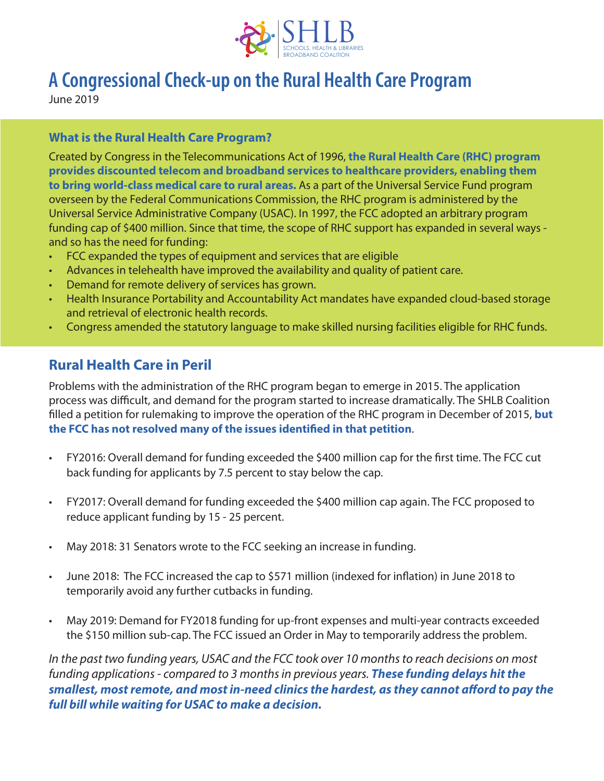

# **A Congressional Check-up on the Rural Health Care Program**

June 2019

#### **What is the Rural Health Care Program?**

Created by Congress in the Telecommunications Act of 1996, **the Rural Health Care (RHC) program provides discounted telecom and broadband services to healthcare providers, enabling them to bring world-class medical care to rural areas.** As a part of the Universal Service Fund program overseen by the Federal Communications Commission, the RHC program is administered by the Universal Service Administrative Company (USAC). In 1997, the FCC adopted an arbitrary program funding cap of \$400 million. Since that time, the scope of RHC support has expanded in several ways and so has the need for funding:

- FCC expanded the types of equipment and services that are eligible
- Advances in telehealth have improved the availability and quality of patient care.
- Demand for remote delivery of services has grown.
- Health Insurance Portability and Accountability Act mandates have expanded cloud-based storage and retrieval of electronic health records.
- Congress amended the statutory language to make skilled nursing facilities eligible for RHC funds.

### **Rural Health Care in Peril**

Problems with the administration of the RHC program began to emerge in 2015. The application process was difficult, and demand for the program started to increase dramatically. The SHLB Coalition filled a petition for rulemaking to improve the operation of the RHC program in December of 2015, **but the FCC has not resolved many of the issues identified in that petition**.

- FY2016: Overall demand for funding exceeded the \$400 million cap for the first time. The FCC cut back funding for applicants by 7.5 percent to stay below the cap.
- FY2017: Overall demand for funding exceeded the \$400 million cap again. The FCC proposed to reduce applicant funding by 15 - 25 percent.
- May 2018: 31 Senators wrote to the FCC seeking an increase in funding.
- June 2018: The FCC increased the cap to \$571 million (indexed for inflation) in June 2018 to temporarily avoid any further cutbacks in funding.
- May 2019: Demand for FY2018 funding for up-front expenses and multi-year contracts exceeded the \$150 million sub-cap. The FCC issued an Order in May to temporarily address the problem.

*In the past two funding years, USAC and the FCC took over 10 months to reach decisions on most funding applications - compared to 3 months in previous years. These funding delays hit the smallest, most remote, and most in-need clinics the hardest, as they cannot afford to pay the full bill while waiting for USAC to make a decision.*